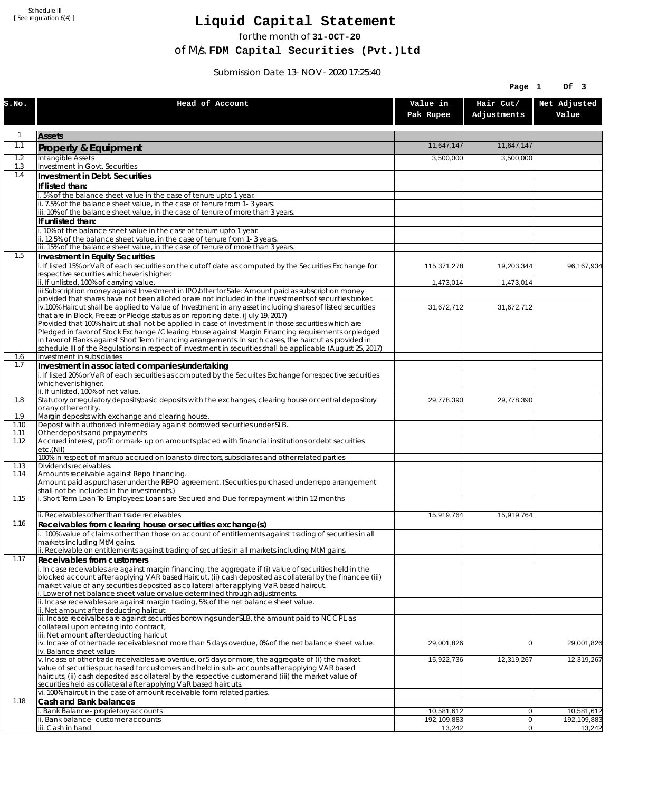Schedule III [ See regulation 6(4) ]

## **Liquid Capital Statement**

for the month of **31-OCT-20**

of M/s. **FDM Capital Securities (Pvt.)Ltd**

Submission Date 13-NOV-2020 17:25:40

|              |                                                                                                                                                                                                               |                           | Page 1<br>Of 3           |                           |
|--------------|---------------------------------------------------------------------------------------------------------------------------------------------------------------------------------------------------------------|---------------------------|--------------------------|---------------------------|
| S.NO.        | Head of Account                                                                                                                                                                                               | Value in<br>Pak Rupee     | Hair Cut/<br>Adjustments | Net Adjusted<br>Value     |
| $\mathbf{1}$ | <b>Assets</b>                                                                                                                                                                                                 |                           |                          |                           |
| 1.1          | Property & Equipment                                                                                                                                                                                          | 11,647,147                | 11.647.147               |                           |
| 1.2          | Intangible Assets                                                                                                                                                                                             | 3,500,000                 | 3,500,000                |                           |
| 1.3          | Investment in Govt. Securities                                                                                                                                                                                |                           |                          |                           |
| 1.4          | Investment in Debt. Securities                                                                                                                                                                                |                           |                          |                           |
|              | If listed than:<br>5% of the balance sheet value in the case of tenure upto 1 year.                                                                                                                           |                           |                          |                           |
|              | ii. 7.5% of the balance sheet value, in the case of tenure from 1-3 years.                                                                                                                                    |                           |                          |                           |
|              | iii. 10% of the balance sheet value, in the case of tenure of more than 3 years.                                                                                                                              |                           |                          |                           |
|              | If unlisted than:<br>10% of the balance sheet value in the case of tenure upto 1 year.                                                                                                                        |                           |                          |                           |
|              | ii. 12.5% of the balance sheet value, in the case of tenure from 1-3 years.                                                                                                                                   |                           |                          |                           |
|              | iii. 15% of the balance sheet value, in the case of tenure of more than 3 years.                                                                                                                              |                           |                          |                           |
| 1.5          | <b>Investment in Equity Securities</b>                                                                                                                                                                        |                           |                          |                           |
|              | i. If listed 15% or VaR of each securities on the cutoff date as computed by the Securities Exchange for<br>respective securities whichever is higher.                                                        | 115,371,278               | 19,203,344               | 96, 167, 934              |
|              | ii. If unlisted, 100% of carrying value.                                                                                                                                                                      | 1,473,014                 | 1,473,014                |                           |
|              | iii.Subscription money against Investment in IPO/offer for Sale: Amount paid as subscription money<br>provided that shares have not been alloted or are not included in the investments of securities broker. |                           |                          |                           |
|              | iv.100% Haircut shall be applied to Value of Investment in any asset including shares of listed securities                                                                                                    | 31,672,712                | 31,672,712               |                           |
|              | that are in Block, Freeze or Pledge status as on reporting date. (July 19, 2017)                                                                                                                              |                           |                          |                           |
|              | Provided that 100% haircut shall not be applied in case of investment in those securities which are<br>Pledged in favor of Stock Exchange / Clearing House against Margin Financing requirements or pledged   |                           |                          |                           |
|              | in favor of Banks against Short Term financing arrangements. In such cases, the haircut as provided in                                                                                                        |                           |                          |                           |
|              | schedule III of the Regulations in respect of investment in securities shall be applicable (August 25, 2017)                                                                                                  |                           |                          |                           |
| 1.6<br>1.7   | Investment in subsidiaries<br>Investment in associated companies/undertaking                                                                                                                                  |                           |                          |                           |
|              | i. If listed 20% or VaR of each securities as computed by the Securites Exchange for respective securities                                                                                                    |                           |                          |                           |
|              | whichever is higher.                                                                                                                                                                                          |                           |                          |                           |
| 1.8          | ii. If unlisted, 100% of net value.<br>Statutory or regulatory deposits/basic deposits with the exchanges, clearing house or central depository                                                               | 29,778,390                | 29,778,390               |                           |
|              | or any other entity.                                                                                                                                                                                          |                           |                          |                           |
| 1.9<br>1.10  | Margin deposits with exchange and clearing house.<br>Deposit with authorized intermediary against borrowed securities under SLB.                                                                              |                           |                          |                           |
| 1.11         | Other deposits and prepayments                                                                                                                                                                                |                           |                          |                           |
| 1.12         | Accrued interest, profit or mark-up on amounts placed with financial institutions or debt securities                                                                                                          |                           |                          |                           |
|              | etc.(Nil)<br>100% in respect of markup accrued on loans to directors, subsidiaries and other related parties                                                                                                  |                           |                          |                           |
| 1.13         | Dividends receivables.                                                                                                                                                                                        |                           |                          |                           |
| 1.14         | Amounts receivable against Repo financing.                                                                                                                                                                    |                           |                          |                           |
|              | Amount paid as purchaser under the REPO agreement. (Securities purchased under repo arrangement<br>shall not be included in the investments.)                                                                 |                           |                          |                           |
| 1.15         | i. Short Term Loan To Employees: Loans are Secured and Due for repayment within 12 months                                                                                                                     |                           |                          |                           |
|              | ii. Receivables other than trade receivables                                                                                                                                                                  | 15,919,764                | 15.919.764               |                           |
| 1.16         | Receivables from clearing house or securities exchange(s)                                                                                                                                                     |                           |                          |                           |
|              | i. 100% value of claims other than those on account of entitlements against trading of securities in all                                                                                                      |                           |                          |                           |
|              | markets including MtM gains.<br>ii. Receivable on entitlements against trading of securities in all markets including MtM gains.                                                                              |                           |                          |                           |
| 1.17         | Receivables from customers                                                                                                                                                                                    |                           |                          |                           |
|              | i. In case receivables are against margin financing, the aggregate if (i) value of securities held in the                                                                                                     |                           |                          |                           |
|              | blocked account after applying VAR based Haircut, (ii) cash deposited as collateral by the financee (iii)<br>market value of any securities deposited as collateral after applying VaR based haircut.         |                           |                          |                           |
|              | i. Lower of net balance sheet value or value determined through adjustments.                                                                                                                                  |                           |                          |                           |
|              | ii. Incase receivables are against margin trading, 5% of the net balance sheet value.                                                                                                                         |                           |                          |                           |
|              | ii. Net amount after deducting haircut<br>iii. Incase receivalbes are against securities borrowings under SLB, the amount paid to NCCPL as                                                                    |                           |                          |                           |
|              | collateral upon entering into contract,                                                                                                                                                                       |                           |                          |                           |
|              | iii. Net amount after deducting haricut<br>iv. Incase of other trade receivables not more than 5 days overdue, 0% of the net balance sheet value.                                                             |                           | $\overline{0}$           | 29,001,826                |
|              | iv. Balance sheet value                                                                                                                                                                                       | 29,001,826                |                          |                           |
|              | v. Incase of other trade receivables are overdue, or 5 days or more, the aggregate of (i) the market                                                                                                          | 15,922,736                | 12,319,267               | 12,319,267                |
|              | value of securities purchased for customers and held in sub-accounts after applying VAR based<br>haircuts, (ii) cash deposited as collateral by the respective customer and (iii) the market value of         |                           |                          |                           |
|              | securities held as collateral after applying VaR based haircuts.                                                                                                                                              |                           |                          |                           |
|              | vi. 100% haircut in the case of amount receivable form related parties.                                                                                                                                       |                           |                          |                           |
| 1.18         | Cash and Bank balances                                                                                                                                                                                        |                           |                          |                           |
|              | Bank Balance-proprietory accounts<br>Bank balance-customer accounts                                                                                                                                           | 10,581,612<br>192,109,883 | 0 <br> 0                 | 10,581,612<br>192,109,883 |
|              | iii. Cash in hand                                                                                                                                                                                             | 13,242                    | $\overline{0}$           | 13,242                    |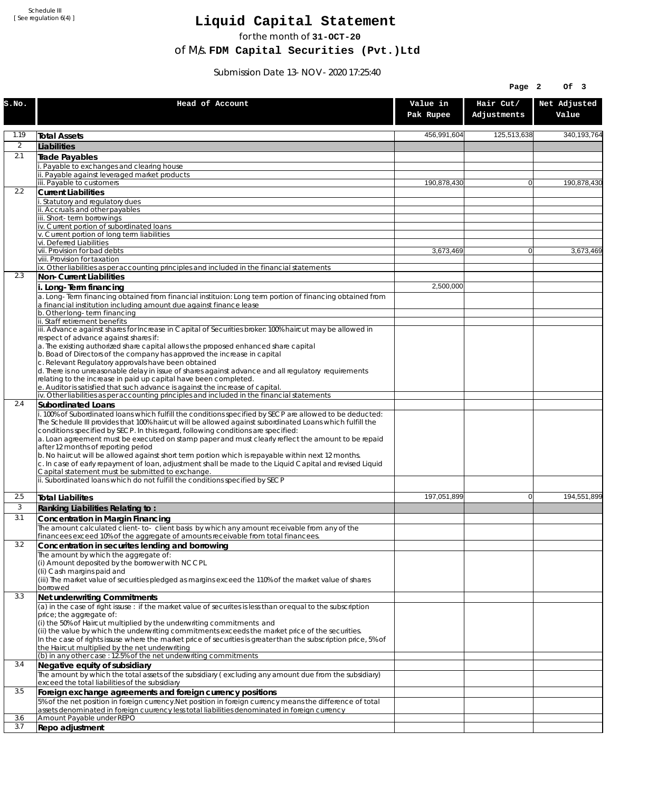Schedule III [ See regulation 6(4) ]

## **Liquid Capital Statement**

for the month of **31-OCT-20**

of M/s. **FDM Capital Securities (Pvt.)Ltd**

Submission Date 13-NOV-2020 17:25:40

|                |                                                                                                                                                                                                                                                                                                                                                                                                                                                                                                                                                                                                                                                                                                                                                                                                             |                       | Page 2                   | Of 3                  |
|----------------|-------------------------------------------------------------------------------------------------------------------------------------------------------------------------------------------------------------------------------------------------------------------------------------------------------------------------------------------------------------------------------------------------------------------------------------------------------------------------------------------------------------------------------------------------------------------------------------------------------------------------------------------------------------------------------------------------------------------------------------------------------------------------------------------------------------|-----------------------|--------------------------|-----------------------|
| S.NO.          | Head of Account                                                                                                                                                                                                                                                                                                                                                                                                                                                                                                                                                                                                                                                                                                                                                                                             | Value in<br>Pak Rupee | Hair Cut/<br>Adjustments | Net Adjusted<br>Value |
| 1.19           | <b>Total Assets</b>                                                                                                                                                                                                                                                                                                                                                                                                                                                                                                                                                                                                                                                                                                                                                                                         | 456,991,604           | 125,513,638              | 340,193,764           |
| $\overline{2}$ | Liabilities                                                                                                                                                                                                                                                                                                                                                                                                                                                                                                                                                                                                                                                                                                                                                                                                 |                       |                          |                       |
| 2.1            | Trade Payables                                                                                                                                                                                                                                                                                                                                                                                                                                                                                                                                                                                                                                                                                                                                                                                              |                       |                          |                       |
|                | Payable to exchanges and clearing house                                                                                                                                                                                                                                                                                                                                                                                                                                                                                                                                                                                                                                                                                                                                                                     |                       |                          |                       |
|                | Payable against leveraged market products<br>iii. Payable to customers                                                                                                                                                                                                                                                                                                                                                                                                                                                                                                                                                                                                                                                                                                                                      | 190.878.430           | $\overline{0}$           | 190,878,430           |
| 2.2            | <b>Current Liabilities</b>                                                                                                                                                                                                                                                                                                                                                                                                                                                                                                                                                                                                                                                                                                                                                                                  |                       |                          |                       |
|                | Statutory and regulatory dues<br>ii. Accruals and other payables                                                                                                                                                                                                                                                                                                                                                                                                                                                                                                                                                                                                                                                                                                                                            |                       |                          |                       |
|                | iii. Short-term borrowinas                                                                                                                                                                                                                                                                                                                                                                                                                                                                                                                                                                                                                                                                                                                                                                                  |                       |                          |                       |
|                | iv. Current portion of subordinated loans                                                                                                                                                                                                                                                                                                                                                                                                                                                                                                                                                                                                                                                                                                                                                                   |                       |                          |                       |
|                | v. Current portion of long term liabilities<br>vi. Deferred Liabilities                                                                                                                                                                                                                                                                                                                                                                                                                                                                                                                                                                                                                                                                                                                                     |                       |                          |                       |
|                | vii. Provision for bad debts                                                                                                                                                                                                                                                                                                                                                                                                                                                                                                                                                                                                                                                                                                                                                                                | 3,673,469             | $\overline{0}$           | 3,673,469             |
|                | viii. Provision for taxation                                                                                                                                                                                                                                                                                                                                                                                                                                                                                                                                                                                                                                                                                                                                                                                |                       |                          |                       |
| 2.3            | ix. Other liabilities as per accounting principles and included in the financial statements<br>Non-Current Liabilities                                                                                                                                                                                                                                                                                                                                                                                                                                                                                                                                                                                                                                                                                      |                       |                          |                       |
|                | i. Long-Term financing                                                                                                                                                                                                                                                                                                                                                                                                                                                                                                                                                                                                                                                                                                                                                                                      | 2,500,000             |                          |                       |
|                | a. Long-Term financing obtained from financial instituion: Long term portion of financing obtained from<br>a financial institution including amount due against finance lease                                                                                                                                                                                                                                                                                                                                                                                                                                                                                                                                                                                                                               |                       |                          |                       |
|                | b. Other long-term financing<br>ii. Staff retirement benefits                                                                                                                                                                                                                                                                                                                                                                                                                                                                                                                                                                                                                                                                                                                                               |                       |                          |                       |
|                | iii. Advance against shares for Increase in Capital of Securities broker: 100% haircut may be allowed in                                                                                                                                                                                                                                                                                                                                                                                                                                                                                                                                                                                                                                                                                                    |                       |                          |                       |
|                | respect of advance against shares if:                                                                                                                                                                                                                                                                                                                                                                                                                                                                                                                                                                                                                                                                                                                                                                       |                       |                          |                       |
|                | a. The existing authorized share capital allows the proposed enhanced share capital<br>b. Boad of Directors of the company has approved the increase in capital                                                                                                                                                                                                                                                                                                                                                                                                                                                                                                                                                                                                                                             |                       |                          |                       |
|                | c. Relevant Regulatory approvals have been obtained<br>d. There is no unreasonable delay in issue of shares against advance and all regulatory requirements                                                                                                                                                                                                                                                                                                                                                                                                                                                                                                                                                                                                                                                 |                       |                          |                       |
|                | relating to the increase in paid up capital have been completed.                                                                                                                                                                                                                                                                                                                                                                                                                                                                                                                                                                                                                                                                                                                                            |                       |                          |                       |
|                | e. Auditor is satisfied that such advance is against the increase of capital.<br>iv. Other liabilities as per accounting principles and included in the financial statements                                                                                                                                                                                                                                                                                                                                                                                                                                                                                                                                                                                                                                |                       |                          |                       |
| 2.4            | Subordinated Loans                                                                                                                                                                                                                                                                                                                                                                                                                                                                                                                                                                                                                                                                                                                                                                                          |                       |                          |                       |
|                | . 100% of Subordinated loans which fulfill the conditions specified by SECP are allowed to be deducted:<br>The Schedule III provides that 100% haircut will be allowed against subordinated Loans which fulfill the<br>conditions specified by SECP. In this regard, following conditions are specified:<br>a. Loan agreement must be executed on stamp paper and must clearly reflect the amount to be repaid<br>after 12 months of reporting period<br>b. No haircut will be allowed against short term portion which is repayable within next 12 months.<br>c. In case of early repayment of loan, adjustment shall be made to the Liquid Capital and revised Liquid<br>Capital statement must be submitted to exchange.<br>ii. Subordinated loans which do not fulfill the conditions specified by SECP |                       |                          |                       |
|                |                                                                                                                                                                                                                                                                                                                                                                                                                                                                                                                                                                                                                                                                                                                                                                                                             |                       |                          |                       |
| 2.5            | <b>Total Liabilites</b>                                                                                                                                                                                                                                                                                                                                                                                                                                                                                                                                                                                                                                                                                                                                                                                     | 197,051,899           | $\Omega$                 | 194,551,899           |
| 3              | Ranking Liabilities Relating to:                                                                                                                                                                                                                                                                                                                                                                                                                                                                                                                                                                                                                                                                                                                                                                            |                       |                          |                       |
| 3.1            | Concentration in Margin Financing                                                                                                                                                                                                                                                                                                                                                                                                                                                                                                                                                                                                                                                                                                                                                                           |                       |                          |                       |
|                | The amount calculated client-to- client basis by which any amount receivable from any of the<br>financees exceed 10% of the aggregate of amounts receivable from total financees.                                                                                                                                                                                                                                                                                                                                                                                                                                                                                                                                                                                                                           |                       |                          |                       |
| 3.2            | Concentration in securites lending and borrowing                                                                                                                                                                                                                                                                                                                                                                                                                                                                                                                                                                                                                                                                                                                                                            |                       |                          |                       |
|                | The amount by which the aggregate of:                                                                                                                                                                                                                                                                                                                                                                                                                                                                                                                                                                                                                                                                                                                                                                       |                       |                          |                       |
|                | (i) Amount deposited by the borrower with NCCPL<br>(Ii) Cash margins paid and                                                                                                                                                                                                                                                                                                                                                                                                                                                                                                                                                                                                                                                                                                                               |                       |                          |                       |
|                | (iii) The market value of securities pledged as margins exceed the 110% of the market value of shares                                                                                                                                                                                                                                                                                                                                                                                                                                                                                                                                                                                                                                                                                                       |                       |                          |                       |
|                | borrowed                                                                                                                                                                                                                                                                                                                                                                                                                                                                                                                                                                                                                                                                                                                                                                                                    |                       |                          |                       |
| 3.3            | Net underwriting Commitments<br>(a) in the case of right issuse : if the market value of securites is less than or equal to the subscription                                                                                                                                                                                                                                                                                                                                                                                                                                                                                                                                                                                                                                                                |                       |                          |                       |
|                | price; the aggregate of:                                                                                                                                                                                                                                                                                                                                                                                                                                                                                                                                                                                                                                                                                                                                                                                    |                       |                          |                       |
|                | (i) the 50% of Haircut multiplied by the underwriting commitments and<br>(ii) the value by which the underwriting commitments exceeds the market price of the securities.<br>In the case of rights issuse where the market price of securities is greater than the subscription price, 5% of                                                                                                                                                                                                                                                                                                                                                                                                                                                                                                                |                       |                          |                       |
|                | the Haircut multiplied by the net underwriting                                                                                                                                                                                                                                                                                                                                                                                                                                                                                                                                                                                                                                                                                                                                                              |                       |                          |                       |
| 3.4            | (b) in any other case: 12.5% of the net underwriting commitments<br>Negative equity of subsidiary                                                                                                                                                                                                                                                                                                                                                                                                                                                                                                                                                                                                                                                                                                           |                       |                          |                       |
|                | The amount by which the total assets of the subsidiary (excluding any amount due from the subsidiary)<br>exceed the total liabilities of the subsidiary                                                                                                                                                                                                                                                                                                                                                                                                                                                                                                                                                                                                                                                     |                       |                          |                       |
| 3.5            | Foreign exchange agreements and foreign currency positions                                                                                                                                                                                                                                                                                                                                                                                                                                                                                                                                                                                                                                                                                                                                                  |                       |                          |                       |
|                | 5% of the net position in foreign currency. Net position in foreign currency means the difference of total<br>assets denominated in foreign cuurency less total liabilities denominated in foreign currency                                                                                                                                                                                                                                                                                                                                                                                                                                                                                                                                                                                                 |                       |                          |                       |
| 3.6<br>3.7     | Amount Payable under REPO<br>Repo adjustment                                                                                                                                                                                                                                                                                                                                                                                                                                                                                                                                                                                                                                                                                                                                                                |                       |                          |                       |
|                |                                                                                                                                                                                                                                                                                                                                                                                                                                                                                                                                                                                                                                                                                                                                                                                                             |                       |                          |                       |